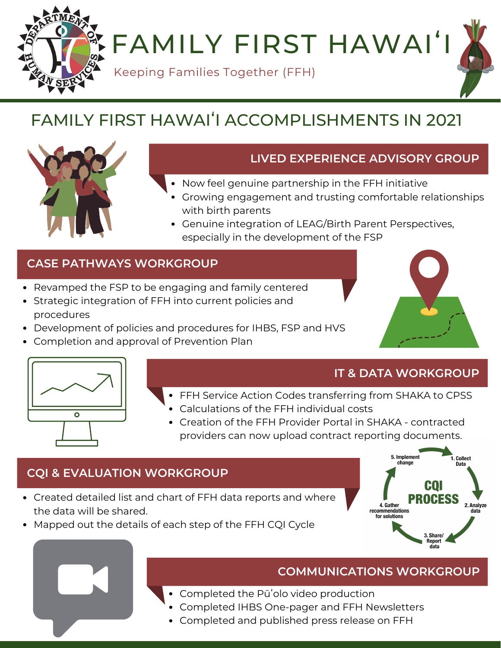FAMILY FIRST HAWAI'

Keeping Families Together (FFH)

# FAMILY FIRST HAWAIʻI ACCOMPLISHMENTS IN 2021



# **LIVED EXPERIENCE ADVISORY GROUP**

- Now feel genuine partnership in the FFH initiative
	- Growing engagement and trusting comfortable relationships with birth parents
	- Genuine integration of LEAG/Birth Parent Perspectives, especially in the development of the FSP

# **CASE PATHWAYS WORKGROUP**

- Revamped the FSP to be engaging and family centered
- Strategic integration of FFH into current policies and procedures
- Development of policies and procedures for IHBS, FSP and HVS
- Completion and approval of Prevention Plan



#### **IT & DATA WORKGROUP**

- FFH Service Action Codes transferring from SHAKA to CPSS
	- Calculations of the FFH individual costs
	- Creation of the FFH Provider Portal in SHAKA contracted providers can now upload contract reporting documents.

## **CQI & EVALUATION WORKGROUP**

- Created detailed list and chart of FFH data reports and where the data will be shared.
- Mapped out the details of each step of the FFH CQI Cycle



## **COMMUNICATIONS WORKGROUP**

- Completed the Pūʻolo video production
- Completed IHBS One-pager and FFH Newsletters
- Completed and published press release on FFH